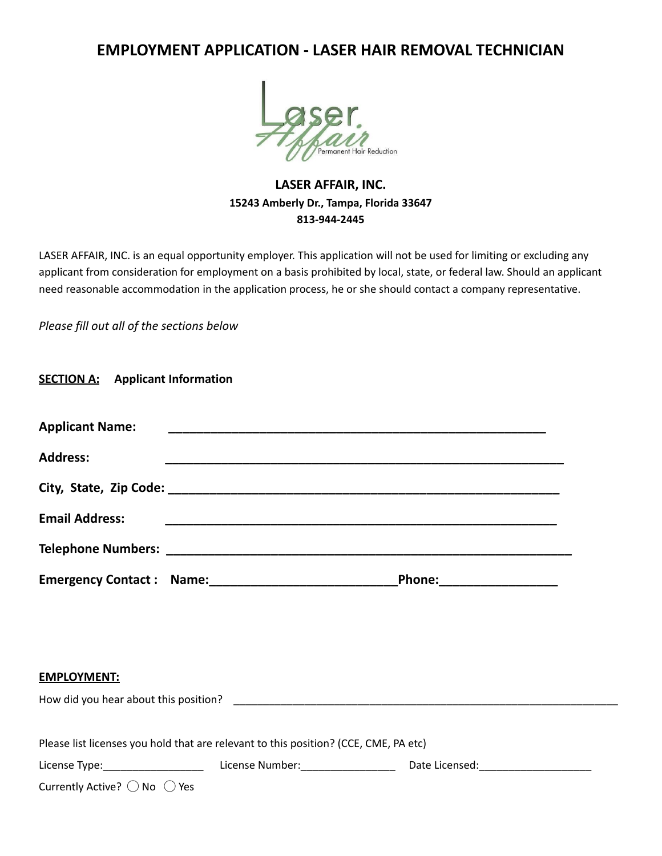# **EMPLOYMENT APPLICATION - LASER HAIR REMOVAL TECHNICIAN**



# **LASER AFFAIR, INC. 15243 Amberly Dr., Tampa, Florida 33647 813-944-2445**

LASER AFFAIR, INC. is an equal opportunity employer. This application will not be used for limiting or excluding any applicant from consideration for employment on a basis prohibited by local, state, or federal law. Should an applicant need reasonable accommodation in the application process, he or she should contact a company representative.

*Please fill out all of the sections below*

**SECTION A: Applicant Information**

| <b>Applicant Name:</b>       |                                                                                      |  |
|------------------------------|--------------------------------------------------------------------------------------|--|
|                              |                                                                                      |  |
| <b>Address:</b>              |                                                                                      |  |
|                              |                                                                                      |  |
| <b>Email Address:</b>        |                                                                                      |  |
|                              |                                                                                      |  |
|                              |                                                                                      |  |
|                              |                                                                                      |  |
|                              |                                                                                      |  |
| <b>EMPLOYMENT:</b>           |                                                                                      |  |
|                              |                                                                                      |  |
|                              |                                                                                      |  |
|                              | Please list licenses you hold that are relevant to this position? (CCE, CME, PA etc) |  |
|                              |                                                                                      |  |
| Currently Active? ◯ No ◯ Yes |                                                                                      |  |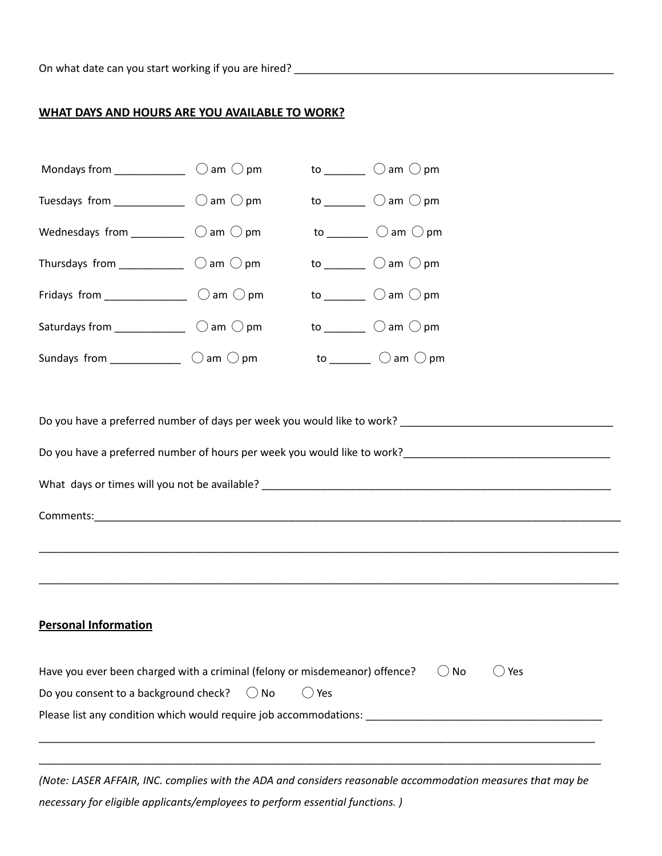#### **WHAT DAYS AND HOURS ARE YOU AVAILABLE TO WORK?**

| Mondays from _____________ $\bigcirc$ am $\bigcirc$ pm                                       |  |  | to $\_\_\_\_\_\_\_\_\$ $\_\$ am $\_\$ pm                                                                    |  |
|----------------------------------------------------------------------------------------------|--|--|-------------------------------------------------------------------------------------------------------------|--|
| Tuesdays from ___________ $\bigcirc$ am $\bigcirc$ pm                                        |  |  | to _______ $\bigcirc$ am $\bigcirc$ pm                                                                      |  |
| Wednesdays from __________ $\bigcirc$ am $\bigcirc$ pm                                       |  |  | to _______ $\bigcirc$ am $\bigcirc$ pm                                                                      |  |
| Thursdays from ____________ $\bigcirc$ am $\bigcirc$ pm                                      |  |  | to _______ $\bigcirc$ am $\bigcirc$ pm                                                                      |  |
| Fridays from _______________ $\bigcirc$ am $\bigcirc$ pm                                     |  |  | to _______ $\bigcirc$ am $\bigcirc$ pm                                                                      |  |
| Saturdays from _____________ $\bigcirc$ am $\bigcirc$ pm                                     |  |  | to $\_\_\_\_\_\_\_\_\$ $\_\$ am $\_\$ pm                                                                    |  |
| Sundays from ______________ $\bigcirc$ am $\bigcirc$ pm                                      |  |  | to _______ $\bigcirc$ am $\bigcirc$ pm                                                                      |  |
| Do you have a preferred number of hours per week you would like to work?                     |  |  |                                                                                                             |  |
| <b>Personal Information</b>                                                                  |  |  |                                                                                                             |  |
| Have you ever been charged with a criminal (felony or misdemeanor) offence?<br>( ) Yes<br>No |  |  |                                                                                                             |  |
| Do you consent to a background check?<br>() Yes<br>$()$ No                                   |  |  |                                                                                                             |  |
|                                                                                              |  |  |                                                                                                             |  |
|                                                                                              |  |  | (Note: LASER AFFAIR, INC. complies with the ADA and considers reasonable accommodation measures that may be |  |
| necessary for eligible applicants/employees to perform essential functions.)                 |  |  |                                                                                                             |  |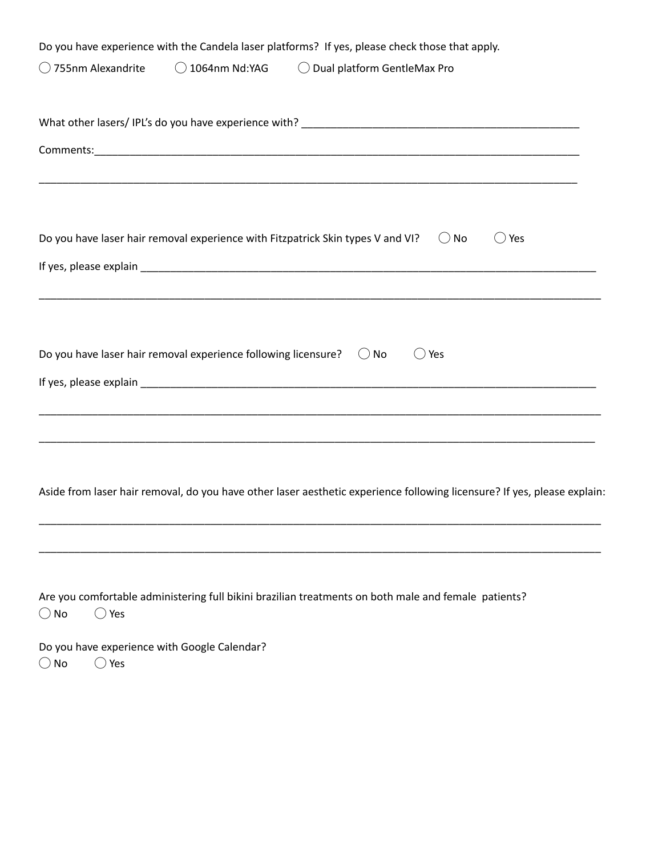|                                                                              |                          | Do you have experience with the Candela laser platforms? If yes, please check those that apply.                          |
|------------------------------------------------------------------------------|--------------------------|--------------------------------------------------------------------------------------------------------------------------|
| ◯ 755nm Alexandrite                                                          | $\bigcirc$ 1064nm Nd:YAG | ◯ Dual platform GentleMax Pro                                                                                            |
|                                                                              |                          |                                                                                                                          |
|                                                                              |                          |                                                                                                                          |
|                                                                              |                          |                                                                                                                          |
|                                                                              |                          |                                                                                                                          |
|                                                                              |                          |                                                                                                                          |
|                                                                              |                          | Do you have laser hair removal experience with Fitzpatrick Skin types V and VI?<br>○ Yes<br>$()$ No                      |
|                                                                              |                          |                                                                                                                          |
|                                                                              |                          |                                                                                                                          |
|                                                                              |                          |                                                                                                                          |
|                                                                              |                          |                                                                                                                          |
| Do you have laser hair removal experience following licensure? $\bigcirc$ No |                          | $()$ Yes                                                                                                                 |
|                                                                              |                          |                                                                                                                          |
|                                                                              |                          |                                                                                                                          |
|                                                                              |                          |                                                                                                                          |
|                                                                              |                          |                                                                                                                          |
|                                                                              |                          |                                                                                                                          |
|                                                                              |                          | Aside from laser hair removal, do you have other laser aesthetic experience following licensure? If yes, please explain: |
|                                                                              |                          |                                                                                                                          |
|                                                                              |                          |                                                                                                                          |
|                                                                              |                          |                                                                                                                          |
|                                                                              |                          | Are you comfortable administering full bikini brazilian treatments on both male and female patients?                     |
| $\bigcirc$ No<br>◯ Yes                                                       |                          |                                                                                                                          |
| Do you have experience with Google Calendar?                                 |                          |                                                                                                                          |
| $\bigcirc$ No<br>Yes                                                         |                          |                                                                                                                          |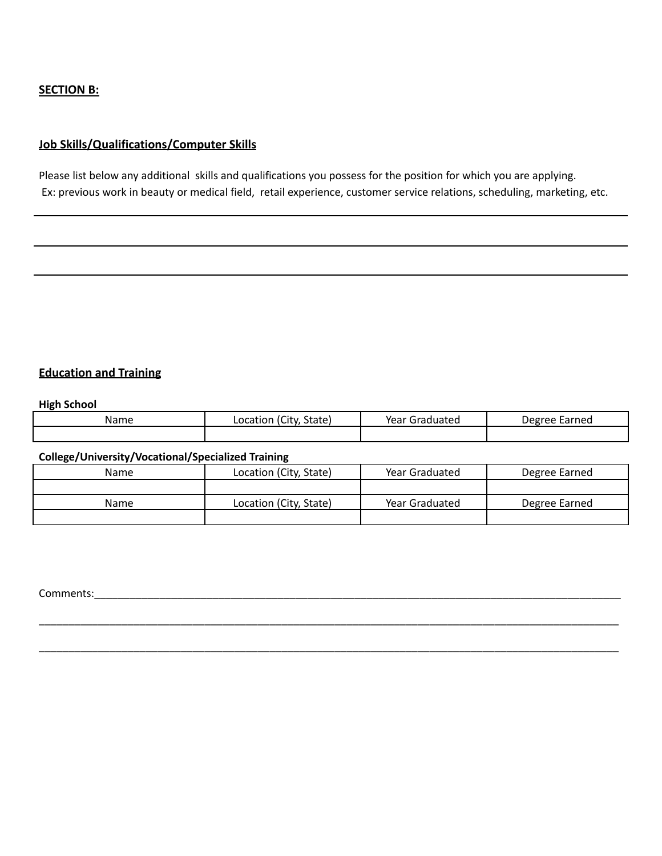#### **SECTION B:**

## **Job Skills/Qualifications/Computer Skills**

Please list below any additional skills and qualifications you possess for the position for which you are applying. Ex: previous work in beauty or medical field, retail experience, customer service relations, scheduling, marketing, etc.

#### **Education and Training**

#### **High School**

| Name | State <sub>)</sub><br>Location<br>Πtν | 1222<br>Voor<br>ıcaı | earned<br>Appree ( |
|------|---------------------------------------|----------------------|--------------------|
|      |                                       |                      |                    |

#### **College/University/Vocational/Specialized Training**

| <b>Name</b> | Location (City, State) | Year Graduated | Degree Earned |
|-------------|------------------------|----------------|---------------|
|             |                        |                |               |
| Name        | Location (City, State) | Year Graduated | Degree Earned |
|             |                        |                |               |

\_\_\_\_\_\_\_\_\_\_\_\_\_\_\_\_\_\_\_\_\_\_\_\_\_\_\_\_\_\_\_\_\_\_\_\_\_\_\_\_\_\_\_\_\_\_\_\_\_\_\_\_\_\_\_\_\_\_\_\_\_\_\_\_\_\_\_\_\_\_\_\_\_\_\_\_\_\_\_\_\_\_\_\_\_\_\_\_\_\_\_\_\_\_\_\_\_\_

\_\_\_\_\_\_\_\_\_\_\_\_\_\_\_\_\_\_\_\_\_\_\_\_\_\_\_\_\_\_\_\_\_\_\_\_\_\_\_\_\_\_\_\_\_\_\_\_\_\_\_\_\_\_\_\_\_\_\_\_\_\_\_\_\_\_\_\_\_\_\_\_\_\_\_\_\_\_\_\_\_\_\_\_\_\_\_\_\_\_\_\_\_\_\_\_\_\_

Comments:\_\_\_\_\_\_\_\_\_\_\_\_\_\_\_\_\_\_\_\_\_\_\_\_\_\_\_\_\_\_\_\_\_\_\_\_\_\_\_\_\_\_\_\_\_\_\_\_\_\_\_\_\_\_\_\_\_\_\_\_\_\_\_\_\_\_\_\_\_\_\_\_\_\_\_\_\_\_\_\_\_\_\_\_\_\_\_\_\_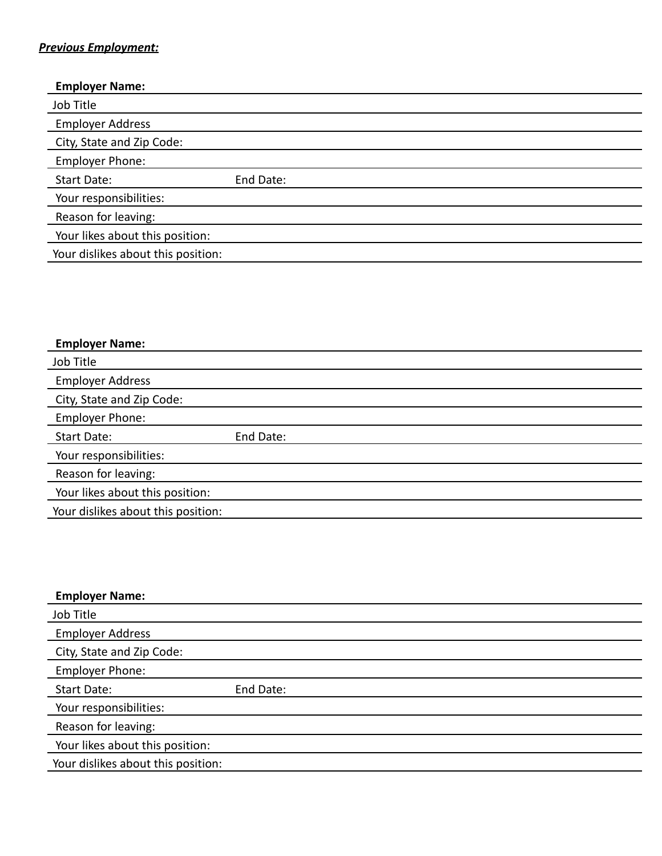## *Previous Employment:*

| <b>Employer Name:</b>              |           |
|------------------------------------|-----------|
| Job Title                          |           |
| <b>Employer Address</b>            |           |
| City, State and Zip Code:          |           |
| Employer Phone:                    |           |
| Start Date:                        | End Date: |
| Your responsibilities:             |           |
| Reason for leaving:                |           |
| Your likes about this position:    |           |
| Your dislikes about this position: |           |
|                                    |           |

| <b>Employer Name:</b>              |           |
|------------------------------------|-----------|
| Job Title                          |           |
| <b>Employer Address</b>            |           |
| City, State and Zip Code:          |           |
| Employer Phone:                    |           |
| Start Date:                        | End Date: |
| Your responsibilities:             |           |
| Reason for leaving:                |           |
| Your likes about this position:    |           |
| Your dislikes about this position: |           |

| <b>Employer Name:</b>              |           |
|------------------------------------|-----------|
| Job Title                          |           |
| <b>Employer Address</b>            |           |
| City, State and Zip Code:          |           |
| Employer Phone:                    |           |
| <b>Start Date:</b>                 | End Date: |
| Your responsibilities:             |           |
| Reason for leaving:                |           |
| Your likes about this position:    |           |
| Your dislikes about this position: |           |